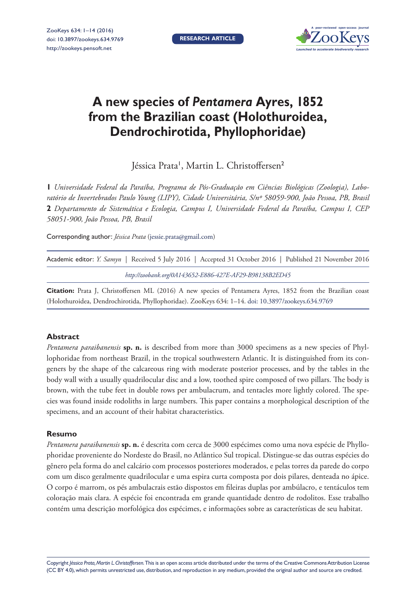

# **A new species of** *Pentamera* **Ayres, 1852 from the Brazilian coast (Holothuroidea, Dendrochirotida, Phyllophoridae)**

Jéssica Prata<sup>1</sup>, Martin L. Christoffersen<sup>2</sup>

**1** *Universidade Federal da Paraíba, Programa de Pós-Graduação em Ciências Biológicas (Zoologia), Laboratório de Invertebrados Paulo Young (LIPY), Cidade Universitária, S/nº 58059-900, João Pessoa, PB, Brasil*  **2** *Departamento de Sistemática e Ecologia, Campus I, Universidade Federal da Paraíba, Campus I, CEP 58051-900, João Pessoa, PB, Brasil*

Corresponding author: *Jéssica Prata* [\(jessie.prata@gmail.com\)](mailto:jessie.prata@gmail.com)

| Academic editor: <i>Y. Samyn</i>   Received 5 July 2016   Accepted 31 October 2016   Published 21 November 2016 |
|-----------------------------------------------------------------------------------------------------------------|
| http://zoobank.org/0A143652-E886-427E-AF29-B98138B2ED45                                                         |

**Citation:** Prata J, Christoffersen ML (2016) A new species of Pentamera Ayres, 1852 from the Brazilian coast (Holothuroidea, Dendrochirotida, Phyllophoridae). ZooKeys 634: 1–14. [doi: 10.3897/zookeys.634.9769](https://doi.org/10.3897/zookeys.634.9769)

## **Abstract**

*Pentamera paraibanensis* **sp. n.** is described from more than 3000 specimens as a new species of Phyllophoridae from northeast Brazil, in the tropical southwestern Atlantic. It is distinguished from its congeners by the shape of the calcareous ring with moderate posterior processes, and by the tables in the body wall with a usually quadrilocular disc and a low, toothed spire composed of two pillars. The body is brown, with the tube feet in double rows per ambulacrum, and tentacles more lightly colored. The species was found inside rodoliths in large numbers. This paper contains a morphological description of the specimens, and an account of their habitat characteristics.

## **Resumo**

*Pentamera paraibanensis* **sp. n.** é descrita com cerca de 3000 espécimes como uma nova espécie de Phyllophoridae proveniente do Nordeste do Brasil, no Atlântico Sul tropical. Distingue-se das outras espécies do gênero pela forma do anel calcário com processos posteriores moderados, e pelas torres da parede do corpo com um disco geralmente quadrilocular e uma espira curta composta por dois pilares, denteada no ápice. O corpo é marrom, os pés ambulacrais estão dispostos em fileiras duplas por ambúlacro, e tentáculos tem coloração mais clara. A espécie foi encontrada em grande quantidade dentro de rodolitos. Esse trabalho contém uma descrição morfológica dos espécimes, e informações sobre as características de seu habitat.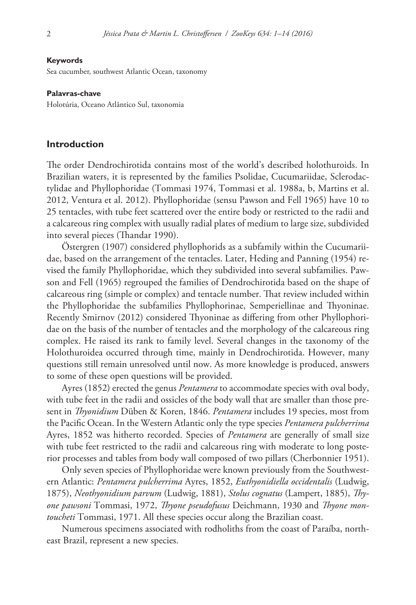#### **Keywords**

Sea cucumber, southwest Atlantic Ocean, taxonomy

#### **Palavras-chave**

Holotúria, Oceano Atlântico Sul, taxonomia

#### **Introduction**

The order Dendrochirotida contains most of the world's described holothuroids. In Brazilian waters, it is represented by the families Psolidae, Cucumariidae, Sclerodactylidae and Phyllophoridae (Tommasi 1974, Tommasi et al. 1988a, b, Martins et al. 2012, Ventura et al. 2012). Phyllophoridae (sensu Pawson and Fell 1965) have 10 to 25 tentacles, with tube feet scattered over the entire body or restricted to the radii and a calcareous ring complex with usually radial plates of medium to large size, subdivided into several pieces (Thandar 1990).

Östergren (1907) considered phyllophorids as a subfamily within the Cucumariidae, based on the arrangement of the tentacles. Later, Heding and Panning (1954) revised the family Phyllophoridae, which they subdivided into several subfamilies. Pawson and Fell (1965) regrouped the families of Dendrochirotida based on the shape of calcareous ring (simple or complex) and tentacle number. That review included within the Phyllophoridae the subfamilies Phyllophorinae, Semperiellinae and Thyoninae. Recently Smirnov (2012) considered Thyoninae as differing from other Phyllophoridae on the basis of the number of tentacles and the morphology of the calcareous ring complex. He raised its rank to family level. Several changes in the taxonomy of the Holothuroidea occurred through time, mainly in Dendrochirotida. However, many questions still remain unresolved until now. As more knowledge is produced, answers to some of these open questions will be provided.

Ayres (1852) erected the genus *Pentamera* to accommodate species with oval body, with tube feet in the radii and ossicles of the body wall that are smaller than those present in *Thyonidium* Düben & Koren, 1846. *Pentamera* includes 19 species, most from the Pacific Ocean. In the Western Atlantic only the type species *Pentamera pulcherrima* Ayres, 1852 was hitherto recorded. Species of *Pentamera* are generally of small size with tube feet restricted to the radii and calcareous ring with moderate to long posterior processes and tables from body wall composed of two pillars (Cherbonnier 1951).

Only seven species of Phyllophoridae were known previously from the Southwestern Atlantic: *Pentamera pulcherrima* Ayres, 1852, *Euthyonidiella occidentalis* (Ludwig, 1875), *Neothyonidium parvum* (Ludwig, 1881), *Stolus cognatus* (Lampert, 1885), *Thyone pawsoni* Tommasi, 1972, *Thyone pseudofusus* Deichmann, 1930 and *Thyone montoucheti* Tommasi, 1971. All these species occur along the Brazilian coast.

Numerous specimens associated with rodholiths from the coast of Paraíba, northeast Brazil, represent a new species.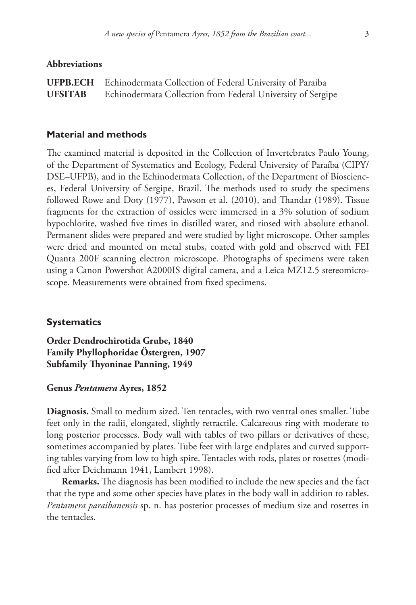#### **Abbreviations**

**UFPB.ECH** Echinodermata Collection of Federal University of Paraiba **UFSITAB** Echinodermata Collection from Federal University of Sergipe

# **Material and methods**

The examined material is deposited in the Collection of Invertebrates Paulo Young, of the Department of Systematics and Ecology, Federal University of Paraíba (CIPY/ DSE–UFPB), and in the Echinodermata Collection, of the Department of Biosciences, Federal University of Sergipe, Brazil. The methods used to study the specimens followed Rowe and Doty (1977), Pawson et al. (2010), and Thandar (1989). Tissue fragments for the extraction of ossicles were immersed in a 3% solution of sodium hypochlorite, washed five times in distilled water, and rinsed with absolute ethanol. Permanent slides were prepared and were studied by light microscope. Other samples were dried and mounted on metal stubs, coated with gold and observed with FEI Quanta 200F scanning electron microscope. Photographs of specimens were taken using a Canon Powershot A2000IS digital camera, and a Leica MZ12.5 stereomicroscope. Measurements were obtained from fixed specimens.

# **Systematics**

**Order Dendrochirotida Grube, 1840 Family Phyllophoridae Östergren, 1907 Subfamily Thyoninae Panning, 1949**

#### **Genus** *Pentamera* **Ayres, 1852**

**Diagnosis.** Small to medium sized. Ten tentacles, with two ventral ones smaller. Tube feet only in the radii, elongated, slightly retractile. Calcareous ring with moderate to long posterior processes. Body wall with tables of two pillars or derivatives of these, sometimes accompanied by plates. Tube feet with large endplates and curved supporting tables varying from low to high spire. Tentacles with rods, plates or rosettes (modified after Deichmann 1941, Lambert 1998).

**Remarks.** The diagnosis has been modified to include the new species and the fact that the type and some other species have plates in the body wall in addition to tables. *Pentamera paraibanensis* sp. n. has posterior processes of medium size and rosettes in the tentacles.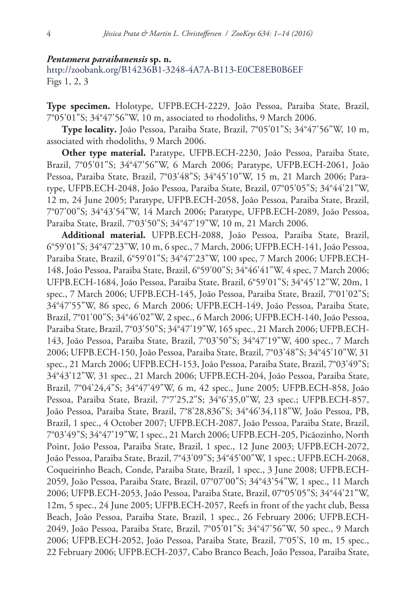#### *Pentamera paraibanensis* **sp. n.**

<http://zoobank.org/B14236B1-3248-4A7A-B113-E0CE8EB0B6EF> Figs 1, 2, 3

**Type specimen.** Holotype, UFPB.ECH-2229, João Pessoa, Paraiba State, Brazil, 7°05'01"S; 34°47'56"W, 10 m, associated to rhodoliths, 9 March 2006.

**Type locality.** João Pessoa, Paraiba State, Brazil, 7°05'01"S; 34°47'56"W, 10 m, associated with rhodoliths, 9 March 2006.

**Other type material.** Paratype, UFPB.ECH-2230, João Pessoa, Paraiba State, Brazil, 7°05'01"S; 34°47'56"W, 6 March 2006; Paratype, UFPB.ECH-2061, João Pessoa, Paraiba State, Brazil, 7°03'48"S; 34°45'10"W, 15 m, 21 March 2006; Paratype, UFPB.ECH-2048, João Pessoa, Paraiba State, Brazil, 07°05'05"S; 34°44'21"W, 12 m, 24 June 2005; Paratype, UFPB.ECH-2058, João Pessoa, Paraiba State, Brazil, 7°07'00"S; 34°43'54"W, 14 March 2006; Paratype, UFPB.ECH-2089, João Pessoa, Paraiba State, Brazil, 7°03'50"S; 34°47'19"W, 10 m, 21 March 2006.

**Additional material.** UFPB.ECH-2088, João Pessoa, Paraiba State, Brazil, 6°59'01"S; 34°47'23"W, 10 m, 6 spec., 7 March, 2006; UFPB.ECH-141, João Pessoa, Paraiba State, Brazil, 6°59'01"S; 34°47'23"W, 100 spec, 7 March 2006; UFPB.ECH-148, João Pessoa, Paraiba State, Brazil, 6°59'00"S; 34°46'41"W, 4 spec, 7 March 2006; UFPB.ECH-1684, João Pessoa, Paraiba State, Brazil, 6°59'01"S; 34°45'12"W, 20m, 1 spec., 7 March 2006; UFPB.ECH-145, João Pessoa, Paraiba State, Brazil, 7°01'02"S; 34°47'55"W, 86 spec, 6 March 2006; UFPB.ECH-149, João Pessoa, Paraiba State, Brazil, 7°01'00"S; 34°46'02"W, 2 spec., 6 March 2006; UFPB.ECH-140, João Pessoa, Paraiba State, Brazil, 7°03'50"S; 34°47'19"W, 165 spec., 21 March 2006; UFPB.ECH-143, João Pessoa, Paraiba State, Brazil, 7°03'50"S; 34°47'19"W, 400 spec., 7 March 2006; UFPB.ECH-150, João Pessoa, Paraiba State, Brazil, 7°03'48"S; 34°45'10"W, 31 spec., 21 March 2006; UFPB.ECH-153, João Pessoa, Paraiba State, Brazil, 7°03'49"S; 34°43'12"W, 31 spec., 21 March 2006; UFPB.ECH-204, João Pessoa, Paraiba State, Brazil, 7°04'24,4"S; 34°47'49"W, 6 m, 42 spec., June 2005; UFPB.ECH-858, João Pessoa, Paraiba State, Brazil, 7°7'25,2"S; 34°6'35,0"W, 23 spec.; UFPB.ECH-857, João Pessoa, Paraiba State, Brazil, 7°8'28,836"S; 34°46'34,118"W, João Pessoa, PB, Brazil, 1 spec., 4 October 2007; UFPB.ECH-2087, João Pessoa, Paraiba State, Brazil, 7°03'49"S; 34°47'19"W, 1 spec., 21 March 2006; UFPB.ECH-205, Picãozinho, North Point, João Pessoa, Paraiba State, Brazil, 1 spec., 12 June 2003; UFPB.ECH-2072, João Pessoa, Paraiba State, Brazil, 7°43'09"S; 34°45'00"W, 1 spec.; UFPB.ECH-2068, Coqueirinho Beach, Conde, Paraiba State, Brazil, 1 spec., 3 June 2008; UFPB.ECH-2059, João Pessoa, Paraiba State, Brazil, 07°07'00"S; 34°43'54"W, 1 spec., 11 March 2006; UFPB.ECH-2053, João Pessoa, Paraiba State, Brazil, 07°05'05"S; 34°44'21"W, 12m, 5 spec., 24 June 2005; UFPB.ECH-2057, Reefs in front of the yacht club, Bessa Beach, João Pessoa, Paraiba State, Brazil, 1 spec., 26 February 2006; UFPB.ECH-2049, João Pessoa, Paraiba State, Brazil, 7°05'01"S; 34°47'56"W, 50 spec., 9 March 2006; UFPB.ECH-2052, João Pessoa, Paraiba State, Brazil, 7°05'S, 10 m, 15 spec., 22 February 2006; UFPB.ECH-2037, Cabo Branco Beach, João Pessoa, Paraiba State,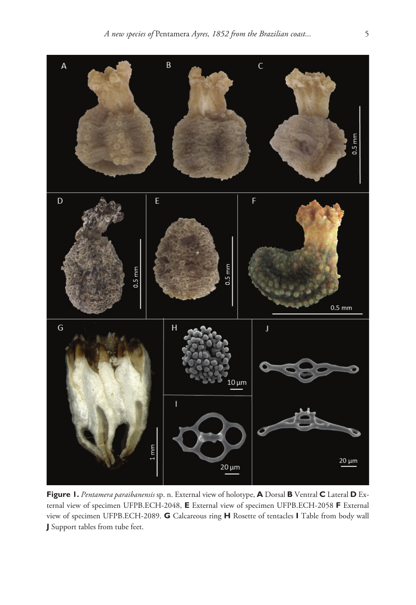

**Figure 1.** *Pentamera paraibanensis* sp. n. External view of holotype, **A** Dorsal **B** Ventral **C** Lateral **D** External view of specimen UFPB.ECH-2048, **E** External view of specimen UFPB.ECH-2058 **F** External view of specimen UFPB.ECH-2089. **G** Calcareous ring **H** Rosette of tentacles **I** Table from body wall **J** Support tables from tube feet.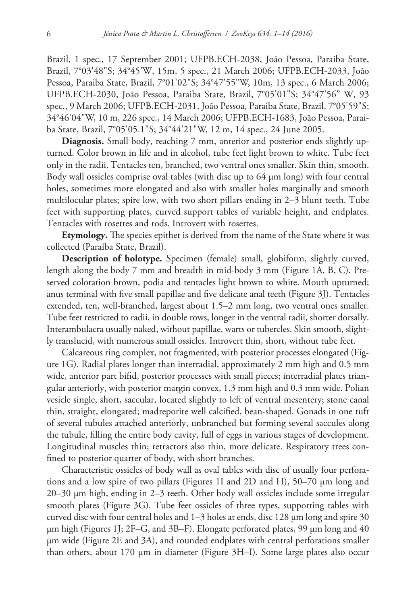Brazil, 1 spec., 17 September 2001; UFPB.ECH-2038, João Pessoa, Paraiba State, Brazil, 7°03'48"S; 34°45'W, 15m, 5 spec., 21 March 2006; UFPB.ECH-2033, João Pessoa, Paraiba State, Brazil, 7°01'02"S; 34°47'55"W, 10m, 13 spec., 6 March 2006; UFPB.ECH-2030, João Pessoa, Paraiba State, Brazil, 7°05'01"S; 34°47'56" W, 93 spec., 9 March 2006; UFPB.ECH-2031, João Pessoa, Paraiba State, Brazil, 7°05'59"S; 34°46'04"W, 10 m, 226 spec., 14 March 2006; UFPB.ECH-1683, João Pessoa, Paraiba State, Brazil, 7°05'05.1"S; 34°44'21"W, 12 m, 14 spec., 24 June 2005.

**Diagnosis.** Small body, reaching 7 mm, anterior and posterior ends slightly upturned. Color brown in life and in alcohol, tube feet light brown to white. Tube feet only in the radii. Tentacles ten, branched, two ventral ones smaller. Skin thin, smooth. Body wall ossicles comprise oval tables (with disc up to  $64 \mu m$  long) with four central holes, sometimes more elongated and also with smaller holes marginally and smooth multilocular plates; spire low, with two short pillars ending in 2–3 blunt teeth. Tube feet with supporting plates, curved support tables of variable height, and endplates. Tentacles with rosettes and rods. Introvert with rosettes.

**Etymology.** The species epithet is derived from the name of the State where it was collected (Paraíba State, Brazil).

**Description of holotype.** Specimen (female) small, globiform, slightly curved, length along the body 7 mm and breadth in mid-body 3 mm (Figure 1A, B, C). Preserved coloration brown, podia and tentacles light brown to white. Mouth upturned; anus terminal with five small papillae and five delicate anal teeth (Figure 3J). Tentacles extended, ten, well-branched, largest about 1.5–2 mm long, two ventral ones smaller. Tube feet restricted to radii, in double rows, longer in the ventral radii, shorter dorsally. Interambulacra usually naked, without papillae, warts or tubercles. Skin smooth, slightly translucid, with numerous small ossicles. Introvert thin, short, without tube feet.

Calcareous ring complex, not fragmented, with posterior processes elongated (Figure 1G). Radial plates longer than interradial, approximately 2 mm high and 0.5 mm wide, anterior part bifid, posterior processes with small pieces; interradial plates triangular anteriorly, with posterior margin convex, 1.3 mm high and 0.3 mm wide. Polian vesicle single, short, saccular, located slightly to left of ventral mesentery; stone canal thin, straight, elongated; madreporite well calcified, bean-shaped. Gonads in one tuft of several tubules attached anteriorly, unbranched but forming several saccules along the tubule, filling the entire body cavity, full of eggs in various stages of development. Longitudinal muscles thin; retractors also thin, more delicate. Respiratory trees confined to posterior quarter of body, with short branches.

Characteristic ossicles of body wall as oval tables with disc of usually four perforations and a low spire of two pillars (Figures 1I and 2D and H), 50–70 µm long and 20–30 µm high, ending in 2–3 teeth. Other body wall ossicles include some irregular smooth plates (Figure 3G). Tube feet ossicles of three types, supporting tables with curved disc with four central holes and 1–3 holes at ends, disc 128 µm long and spire 30 µm high (Figures 1J; 2F–G, and 3B–F). Elongate perforated plates, 99 µm long and 40 µm wide (Figure 2E and 3A), and rounded endplates with central perforations smaller than others, about 170 µm in diameter (Figure 3H–I). Some large plates also occur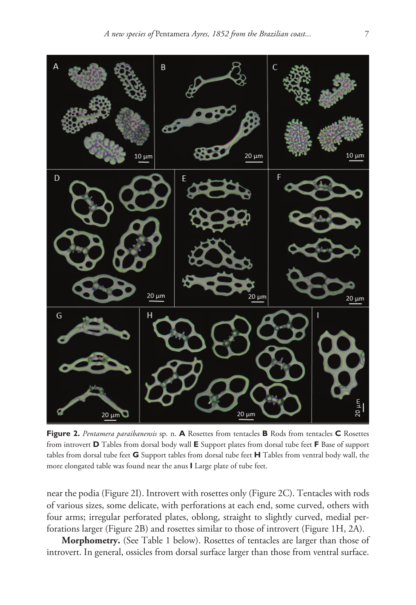

**Figure 2.** *Pentamera paraibanensis* sp. n. **A** Rosettes from tentacles **B** Rods from tentacles **C** Rosettes from introvert **D** Tables from dorsal body wall **E** Support plates from dorsal tube feet **F** Base of support tables from dorsal tube feet **G** Support tables from dorsal tube feet **H** Tables from ventral body wall, the more elongated table was found near the anus **I** Large plate of tube feet.

near the podia (Figure 2I). Introvert with rosettes only (Figure 2C). Tentacles with rods of various sizes, some delicate, with perforations at each end, some curved, others with four arms; irregular perforated plates, oblong, straight to slightly curved, medial perforations larger (Figure 2B) and rosettes similar to those of introvert (Figure 1H, 2A).

**Morphometry.** (See Table 1 below). Rosettes of tentacles are larger than those of introvert. In general, ossicles from dorsal surface larger than those from ventral surface.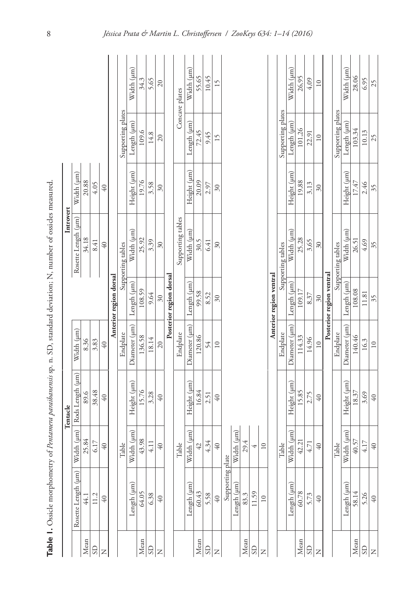|                           |                     |                             | Tentacle         |                 |                          | Introvert           |                 |                   |                 |
|---------------------------|---------------------|-----------------------------|------------------|-----------------|--------------------------|---------------------|-----------------|-------------------|-----------------|
|                           | Rosette Length (µm) | $\frac{d\text{th}}{m}$<br>≅ | Rods Length (µm) | Width (µm)      |                          | Rosette Length (µm) | Width (um)      |                   |                 |
| $Mean$                    | 44.1                | 25.84                       |                  | 8.36            |                          | 34.18               | 20.88           |                   |                 |
| $\frac{1}{2}$             | 11.2                | 6.17                        | 38.48            | 3.83            |                          | 8.41                | 4.05            |                   |                 |
| $\overline{z}$            | 40                  | $40$                        | $\sqrt{40}$      | 40              |                          | 40                  | $\overline{40}$ |                   |                 |
|                           |                     |                             |                  |                 | Anterior region dorsal   |                     |                 |                   |                 |
|                           |                     | ${\rm Table}$               |                  | Endplate        |                          | Supporting tables   |                 | Supporting plates |                 |
|                           | Length (µm)         | Width (µm)                  | Height (µm)      | Diameter (µm)   | Length (µm)              | Width (µm)          | Height (µm)     | Length (µm)       | Width (µm)      |
| Mean                      | 64.05               | 43.98                       | 15.76            | 136.58          | 108.59                   | 25.92               | 19.76           | 109.6             | 34.3            |
| $\frac{1}{2}$             | 6.38                | 4.11                        | 3.28             | 18.14           | 9.64                     | 3.39                | 3.58            | 14.8              | 5.65            |
| $\mathsf{z}$              | $\overline{6}$      | $40$                        | 40               | $20\,$          | 30                       | $30\,$              | $\approx$       | 20                | $20\,$          |
|                           |                     |                             |                  |                 | Posterior region dorsal  |                     |                 |                   |                 |
|                           |                     | ${\rm Table}$               |                  | Endplate        |                          | Supporting tables   |                 |                   | Concave plates  |
|                           | Length (µm)         | Width (µm)                  | Height (µm)      | Diameter (µm)   | Length (µm)              | Width (µm)          | Height (µm)     | Length (µm)       | Width (µm)      |
| Mean                      | 60.43               | $42\,$                      | 16.84            | 120.86          | 99.58                    | 30.5                | 20.09           | 72.45             | 55.65           |
| $ \mathbb{S} $            | 5.58                | 4.34                        | 2.51             | 54              | 8.52                     | 6.41                | 2.97            | 9.45              | 10.45           |
| $\mathsf{z}$              | 40                  | $40$                        | 40               | $\overline{10}$ | $\approx$                | $\delta$ 0          | $\delta$        | 15                | 15              |
|                           | Supporting plate    |                             |                  |                 |                          |                     |                 |                   |                 |
|                           | Length (µm)         | Width (µm)                  |                  |                 |                          |                     |                 |                   |                 |
| Mean                      | 83.3                | 29.4                        |                  |                 |                          |                     |                 |                   |                 |
|                           | 11.59               | 4                           |                  |                 |                          |                     |                 |                   |                 |
| $ \mathbb{S} \mathbb{Z} $ | $\overline{10}$     | 10                          |                  |                 |                          |                     |                 |                   |                 |
|                           |                     |                             |                  |                 | Anterior region ventral  |                     |                 |                   |                 |
|                           |                     | <b>Table</b>                |                  | Endplate        |                          | Supporting tables   |                 | Supporting plates |                 |
|                           | $L$ ength $(\mu m)$ | Width (µm)                  | Height (µm)      | Diameter (µm)   | Length (µm)              | Width (µm)          | Height (µm)     | Length (µm)       | Width (µm)      |
| Mean                      | 60.78               | 42.21                       | 15.85            | 114.33          | 109.17                   | 25.28               | 19,88           | 101,26            | 26,95           |
| $\frac{a}{s}$             | 5.73                | 4.71                        | 2.75             | 14.96           | 8,37                     | 3,65                | 3,13            | 22,91             | 4,09            |
|                           | 40                  | $40$                        | 40               | $\overline{10}$ | $\delta$                 | $\overline{30}$     | $\delta$        | $\overline{10}$   | $\overline{10}$ |
|                           |                     |                             |                  |                 | Posterior region ventral |                     |                 |                   |                 |
|                           |                     | <b>Table</b>                |                  | Endplate        |                          | Supporting tables   |                 | Supporting plates |                 |
|                           | Length (µm)         | Width (µm)                  | Height (µm)      | Diameter (µm)   | Length (µm)              | Width (µm)          | Height (µm)     | Length (µm)       | Width (µm)      |
| Mean                      | 58.14               | 40.57                       | 18.37            | 140.46          | 108.08                   | 26.51               | 17.47           | 103.34            | 28.06           |
| $S_{\rm z}$               | 5.26                | 4.17                        | 3.69             | 16.3            | 11.81                    | 4.69                | 2.46            | 10.13             | 6.95            |
|                           | 40                  | $40\,$                      | $40$             | $10$            | 35                       | 35                  | 35              | 25                | 25              |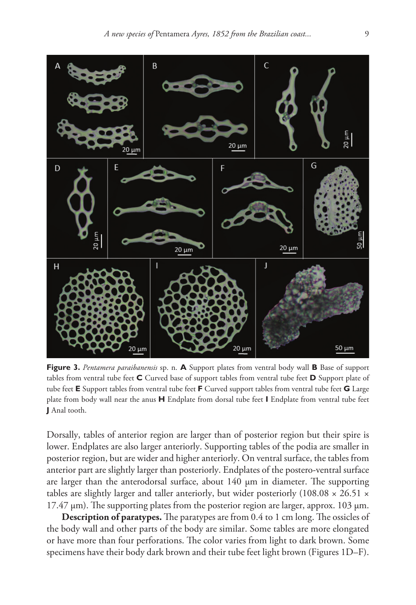

**Figure 3.** *Pentamera paraibanensis* sp. n. **A** Support plates from ventral body wall **B** Base of support tables from ventral tube feet **C** Curved base of support tables from ventral tube feet **D** Support plate of tube feet **E** Support tables from ventral tube feet **F** Curved support tables from ventral tube feet **G** Large plate from body wall near the anus **H** Endplate from dorsal tube feet **I** Endplate from ventral tube feet **J** Anal tooth.

Dorsally, tables of anterior region are larger than of posterior region but their spire is lower. Endplates are also larger anteriorly. Supporting tables of the podia are smaller in posterior region, but are wider and higher anteriorly. On ventral surface, the tables from anterior part are slightly larger than posteriorly. Endplates of the postero-ventral surface are larger than the anterodorsal surface, about 140 µm in diameter. The supporting tables are slightly larger and taller anteriorly, but wider posteriorly (108.08  $\times$  26.51  $\times$  $17.47 \,\mu m$ ). The supporting plates from the posterior region are larger, approx. 103  $\mu$ m.

**Description of paratypes.** The paratypes are from 0.4 to 1 cm long. The ossicles of the body wall and other parts of the body are similar. Some tables are more elongated or have more than four perforations. The color varies from light to dark brown. Some specimens have their body dark brown and their tube feet light brown (Figures 1D–F).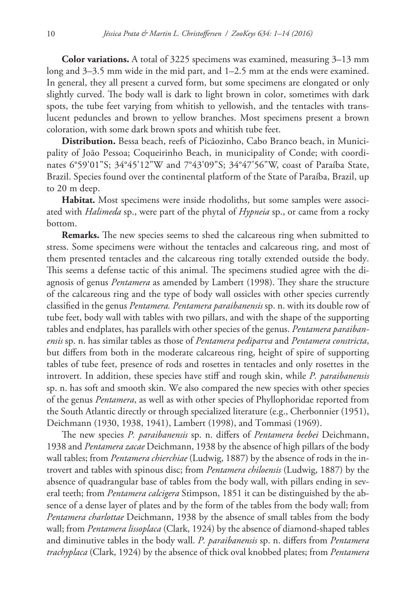**Color variations.** A total of 3225 specimens was examined, measuring 3–13 mm long and 3–3.5 mm wide in the mid part, and 1–2.5 mm at the ends were examined. In general, they all present a curved form, but some specimens are elongated or only slightly curved. The body wall is dark to light brown in color, sometimes with dark spots, the tube feet varying from whitish to yellowish, and the tentacles with translucent peduncles and brown to yellow branches. Most specimens present a brown coloration, with some dark brown spots and whitish tube feet.

**Distribution.** Bessa beach, reefs of Picãozinho, Cabo Branco beach, in Municipality of João Pessoa; Coqueirinho Beach, in municipality of Conde; with coordinates 6°59'01"S; 34°45'12"W and 7°43'09"S; 34°47'56"W, coast of Paraíba State, Brazil. Species found over the continental platform of the State of Paraíba, Brazil, up to 20 m deep.

**Habitat.** Most specimens were inside rhodoliths, but some samples were associated with *Halimeda* sp., were part of the phytal of *Hypneia* sp., or came from a rocky bottom.

**Remarks.** The new species seems to shed the calcareous ring when submitted to stress. Some specimens were without the tentacles and calcareous ring, and most of them presented tentacles and the calcareous ring totally extended outside the body. This seems a defense tactic of this animal. The specimens studied agree with the diagnosis of genus *Pentamera* as amended by Lambert (1998). They share the structure of the calcareous ring and the type of body wall ossicles with other species currently classified in the genus *Pentamera. Pentamera paraibanensis* sp. n. with its double row of tube feet, body wall with tables with two pillars, and with the shape of the supporting tables and endplates, has parallels with other species of the genus. *Pentamera paraibanensis* sp. n. has similar tables as those of *Pentamera pediparva* and *Pentamera constricta*, but differs from both in the moderate calcareous ring, height of spire of supporting tables of tube feet, presence of rods and rosettes in tentacles and only rosettes in the introvert. In addition, these species have stiff and rough skin, while *P. paraibanensis* sp. n. has soft and smooth skin. We also compared the new species with other species of the genus *Pentamera*, as well as with other species of Phyllophoridae reported from the South Atlantic directly or through specialized literature (e.g., Cherbonnier (1951), Deichmann (1930, 1938, 1941), Lambert (1998), and Tommasi (1969).

The new species *P. paraibanensis* sp. n. differs of *Pentamera beebei* Deichmann, 1938 and *Pentamera zacae* Deichmann, 1938 by the absence of high pillars of the body wall tables; from *Pentamera chierchiae* (Ludwig, 1887) by the absence of rods in the introvert and tables with spinous disc; from *Pentamera chiloensis* (Ludwig, 1887) by the absence of quadrangular base of tables from the body wall, with pillars ending in several teeth; from *Pentamera calcigera* Stimpson, 1851 it can be distinguished by the absence of a dense layer of plates and by the form of the tables from the body wall; from *Pentamera charlottae* Deichmann, 1938 by the absence of small tables from the body wall; from *Pentamera lissoplaca* (Clark, 1924) by the absence of diamond-shaped tables and diminutive tables in the body wall. *P. paraibanensis* sp. n. differs from *Pentamera trachyplaca* (Clark, 1924) by the absence of thick oval knobbed plates; from *Pentamera*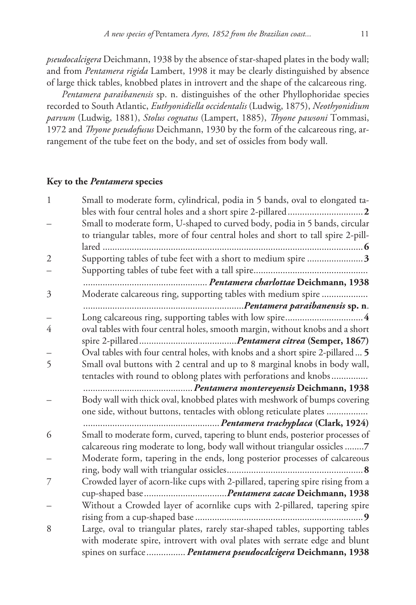*pseudocalcigera* Deichmann, 1938 by the absence of star-shaped plates in the body wall; and from *Pentamera rigida* Lambert, 1998 it may be clearly distinguished by absence of large thick tables, knobbed plates in introvert and the shape of the calcareous ring.

*Pentamera paraibanensis* sp. n. distinguishes of the other Phyllophoridae species recorded to South Atlantic, *Euthyonidiella occidentalis* (Ludwig, 1875), *Neothyonidium parvum* (Ludwig, 1881), *Stolus cognatus* (Lampert, 1885), *Thyone pawsoni* Tommasi, 1972 and *Thyone pseudofusus* Deichmann, 1930 by the form of the calcareous ring, arrangement of the tube feet on the body, and set of ossicles from body wall.

# **Key to the** *Pentamera* **species**

| 1 | Small to moderate form, cylindrical, podia in 5 bands, oval to elongated ta-     |
|---|----------------------------------------------------------------------------------|
|   |                                                                                  |
|   | Small to moderate form, U-shaped to curved body, podia in 5 bands, circular      |
|   | to triangular tables, more of four central holes and short to tall spire 2-pill- |
|   |                                                                                  |
| 2 | Supporting tables of tube feet with a short to medium spire 3                    |
|   |                                                                                  |
|   |                                                                                  |
| 3 | Moderate calcareous ring, supporting tables with medium spire                    |
|   |                                                                                  |
|   |                                                                                  |
| 4 | oval tables with four central holes, smooth margin, without knobs and a short    |
|   |                                                                                  |
|   | Oval tables with four central holes, with knobs and a short spire 2-pillared  5  |
| 5 | Small oval buttons with 2 central and up to 8 marginal knobs in body wall,       |
|   | tentacles with round to oblong plates with perforations and knobs                |
|   |                                                                                  |
|   | Body wall with thick oval, knobbed plates with meshwork of bumps covering        |
|   | one side, without buttons, tentacles with oblong reticulate plates               |
|   |                                                                                  |
| 6 | Small to moderate form, curved, tapering to blunt ends, posterior processes of   |
|   | calcareous ring moderate to long, body wall without triangular ossicles 7        |
|   | Moderate form, tapering in the ends, long posterior processes of calcareous      |
|   |                                                                                  |
| 7 | Crowded layer of acorn-like cups with 2-pillared, tapering spire rising from a   |
|   |                                                                                  |
|   | Without a Crowded layer of acornlike cups with 2-pillared, tapering spire        |
|   |                                                                                  |
| 8 | Large, oval to triangular plates, rarely star-shaped tables, supporting tables   |
|   | with moderate spire, introvert with oval plates with serrate edge and blunt      |
|   | spines on surface  Pentamera pseudocalcigera Deichmann, 1938                     |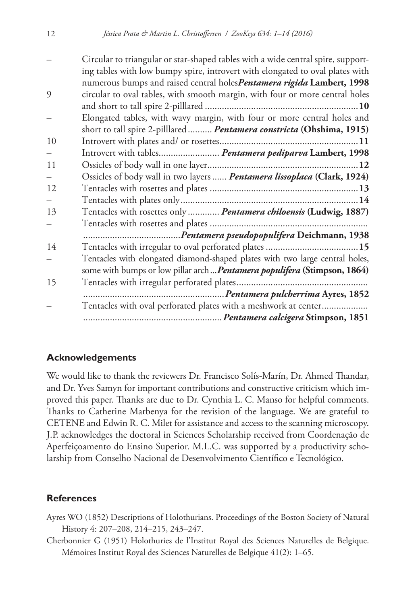|    | Tentacles with oval perforated plates with a meshwork at center                  |
|----|----------------------------------------------------------------------------------|
|    |                                                                                  |
| 15 |                                                                                  |
|    | some with bumps or low pillar arch  Pentamera populifera (Stimpson, 1864)        |
|    | Tentacles with elongated diamond-shaped plates with two large central holes,     |
| 14 |                                                                                  |
|    |                                                                                  |
|    |                                                                                  |
| 13 | Tentacles with rosettes only  Pentamera chiloensis (Ludwig, 1887)                |
|    |                                                                                  |
| 12 |                                                                                  |
|    | Ossicles of body wall in two layers  Pentamera lissoplaca (Clark, 1924)          |
| 11 |                                                                                  |
|    | Introvert with tables Pentamera pediparva Lambert, 1998                          |
| 10 |                                                                                  |
|    | short to tall spire 2-pilllared  Pentamera constricta (Ohshima, 1915)            |
|    | Elongated tables, with wavy margin, with four or more central holes and          |
|    |                                                                                  |
| 9  | circular to oval tables, with smooth margin, with four or more central holes     |
|    | numerous bumps and raised central holesPentamera rigida Lambert, 1998            |
|    | ing tables with low bumpy spire, introvert with elongated to oval plates with    |
|    | Circular to triangular or star-shaped tables with a wide central spire, support- |

# **Acknowledgements**

We would like to thank the reviewers Dr. Francisco Solís-Marín, Dr. Ahmed Thandar, and Dr. Yves Samyn for important contributions and constructive criticism which improved this paper. Thanks are due to Dr. Cynthia L. C. Manso for helpful comments. Thanks to Catherine Marbenya for the revision of the language. We are grateful to CETENE and Edwin R. C. Milet for assistance and access to the scanning microscopy. J.P. acknowledges the doctoral in Sciences Scholarship received from Coordenação de Aperfeiçoamento do Ensino Superior. M.L.C. was supported by a productivity scholarship from Conselho Nacional de Desenvolvimento Científico e Tecnológico.

# **References**

Ayres WO (1852) Descriptions of Holothurians. Proceedings of the Boston Society of Natural History 4: 207–208, 214–215, 243–247.

Cherbonnier G (1951) Holothuries de l'Institut Royal des Sciences Naturelles de Belgique. Mémoires Institut Royal des Sciences Naturelles de Belgique 41(2): 1–65.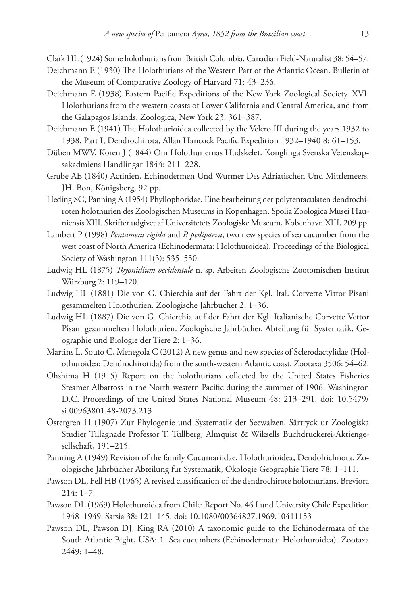Clark HL (1924) Some holothurians from British Columbia. Canadian Field-Naturalist 38: 54–57.

- Deichmann E (1930) The Holothurians of the Western Part of the Atlantic Ocean. Bulletin of the Museum of Comparative Zoology of Harvard 71: 43–236.
- Deichmann E (1938) Eastern Pacific Expeditions of the New York Zoological Society. XVI. Holothurians from the western coasts of Lower California and Central America, and from the Galapagos Islands. Zoologica, New York 23: 361–387.
- Deichmann E (1941) The Holothurioidea collected by the Velero III during the years 1932 to 1938. Part I, Dendrochirota, Allan Hancock Pacific Expedition 1932–1940 8: 61–153.
- Düben MWV, Koren J (1844) Om Holothuriernas Hudskelet. Konglinga Svenska Vetenskapsakadmiens Handlingar 1844: 211–228.
- Grube AE (1840) Actinien, Echinodermen Und Wurmer Des Adriatischen Und Mittlemeers. JH. Bon, Königsberg, 92 pp.
- Heding SG, Panning A (1954) Phyllophoridae. Eine bearbeitung der polytentaculaten dendrochiroten holothurien des Zoologischen Museums in Kopenhagen. Spolia Zoologica Musei Hauniensis XIII. Skrifter udgivet af Universitetets Zoologiske Museum, Kobenhavn XIII, 209 pp.
- Lambert P (1998) *Pentamera rigida* and *P. pediparva*, two new species of sea cucumber from the west coast of North America (Echinodermata: Holothuroidea). Proceedings of the Biological Society of Washington 111(3): 535–550.
- Ludwig HL (1875) *Thyonidium occidentale* n. sp. Arbeiten Zoologische Zootomischen Institut Würzburg 2: 119–120.
- Ludwig HL (1881) Die von G. Chierchia auf der Fahrt der Kgl. Ital. Corvette Vittor Pisani gesammelten Holothurien. Zoologische Jahrbucher 2: 1–36.
- Ludwig HL (1887) Die von G. Chierchia auf der Fahrt der Kgl. Italianische Corvette Vettor Pisani gesammelten Holothurien. Zoologische Jahrbücher. Abteilung für Systematik, Geographie und Biologie der Tiere 2: 1–36.
- Martins L, Souto C, Menegola C (2012) A new genus and new species of Sclerodactylidae (Holothuroidea: Dendrochirotida) from the south-western Atlantic coast. Zootaxa 3506: 54–62.
- Ohshima H (1915) Report on the holothurians collected by the United States Fisheries Steamer Albatross in the North-western Pacific during the summer of 1906. Washington D.C. Proceedings of the United States National Museum 48: 213–291. [doi: 10.5479/](https://doi.org/10.5479/si.00963801.48-2073.213) [si.00963801.48-2073.213](https://doi.org/10.5479/si.00963801.48-2073.213)
- Östergren H (1907) Zur Phylogenie und Systematik der Seewalzen. Särtryck ur Zoologiska Studier Tillägnade Professor T. Tullberg, Almquist & Wiksells Buchdruckerei-Aktiengesellschaft, 191–215.
- Panning A (1949) Revision of the family Cucumariidae, Holothurioidea, Dendolrichnota. Zoologische Jahrbücher Abteilung für Systematik, Ökologie Geographie Tiere 78: 1–111.
- Pawson DL, Fell HB (1965) A revised classification of the dendrochirote holothurians. Breviora 214: 1–7.
- Pawson DL (1969) Holothuroidea from Chile: Report No. 46 Lund University Chile Expedition 1948–1949. Sarsia 38: 121–145. [doi: 10.1080/00364827.1969.10411153](https://doi.org/10.1080/00364827.1969.10411153)
- Pawson DL, Pawson DJ, King RA (2010) A taxonomic guide to the Echinodermata of the South Atlantic Bight, USA: 1. Sea cucumbers (Echinodermata: Holothuroidea). Zootaxa 2449: 1–48.